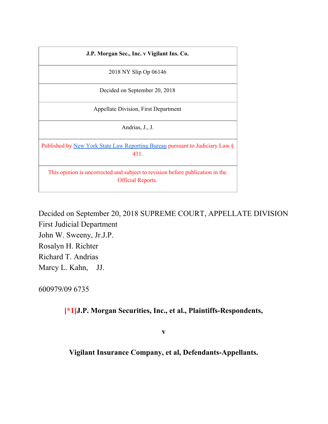| J.P. Morgan Sec., Inc. v Vigilant Ins. Co.                                                                |
|-----------------------------------------------------------------------------------------------------------|
| 2018 NY Slip Op 06146                                                                                     |
| Decided on September 20, 2018                                                                             |
| <b>Appellate Division, First Department</b>                                                               |
| Andrias, J., J.                                                                                           |
| Published by New York State Law Reporting Bureau pursuant to Judiciary Law §<br>431                       |
| This opinion is uncorrected and subject to revision before publication in the<br><b>Official Reports.</b> |

Decided on September 20, 2018 SUPREME COURT, APPELLATE DIVISION First Judicial Department John W. Sweeny, Jr.J.P. Rosalyn H. Richter Richard T. Andrias Marcy L. Kahn, JJ.

600979/09 6735

**[\*1]J.P. Morgan Securities, Inc., et al., Plaintiffs-Respondents,**

**v**

**Vigilant Insurance Company, et al, Defendants-Appellants.**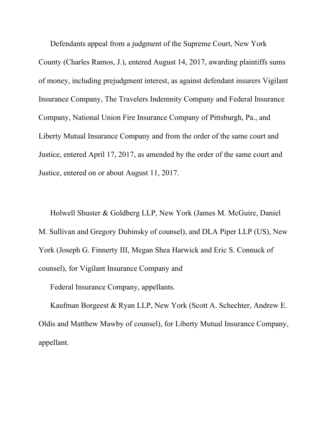Defendants appeal from a judgment of the Supreme Court, New York County (Charles Ramos, J.), entered August 14, 2017, awarding plaintiffs sums of money, including prejudgment interest, as against defendant insurers Vigilant Insurance Company, The Travelers Indemnity Company and Federal Insurance Company, National Union Fire Insurance Company of Pittsburgh, Pa., and Liberty Mutual Insurance Company and from the order of the same court and Justice, entered April 17, 2017, as amended by the order of the same court and Justice, entered on or about August 11, 2017.

Holwell Shuster & Goldberg LLP, New York (James M. McGuire, Daniel M. Sullivan and Gregory Dubinsky of counsel), and DLA Piper LLP (US), New York (Joseph G. Finnerty III, Megan Shea Harwick and Eric S. Connuck of counsel), for Vigilant Insurance Company and

Federal Insurance Company, appellants.

Kaufman Borgeest & Ryan LLP, New York (Scott A. Schechter, Andrew E. Oldis and Matthew Mawby of counsel), for Liberty Mutual Insurance Company, appellant.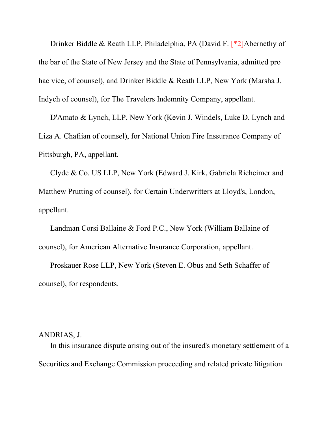Drinker Biddle & Reath LLP, Philadelphia, PA (David F. [\*2]Abernethy of the bar of the State of New Jersey and the State of Pennsylvania, admitted pro hac vice, of counsel), and Drinker Biddle & Reath LLP, New York (Marsha J. Indych of counsel), for The Travelers Indemnity Company, appellant.

D'Amato & Lynch, LLP, New York (Kevin J. Windels, Luke D. Lynch and Liza A. Chafiian of counsel), for National Union Fire Inssurance Company of Pittsburgh, PA, appellant.

Clyde & Co. US LLP, New York (Edward J. Kirk, Gabriela Richeimer and Matthew Prutting of counsel), for Certain Underwritters at Lloyd's, London, appellant.

Landman Corsi Ballaine & Ford P.C., New York (William Ballaine of counsel), for American Alternative Insurance Corporation, appellant.

Proskauer Rose LLP, New York (Steven E. Obus and Seth Schaffer of counsel), for respondents.

## ANDRIAS, J.

In this insurance dispute arising out of the insured's monetary settlement of a Securities and Exchange Commission proceeding and related private litigation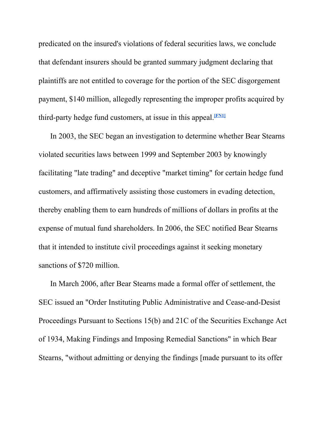predicated on the insured's violations of federal securities laws, we conclude that defendant insurers should be granted summary judgment declaring that plaintiffs are not entitled to coverage for the portion of the SEC disgorgement payment, \$140 million, allegedly representing the improper profits acquired by third-party hedge fund customers, at issue in this appeal. **[FN1]**

In 2003, the SEC began an investigation to determine whether Bear Stearns violated securities laws between 1999 and September 2003 by knowingly facilitating "late trading" and deceptive "market timing" for certain hedge fund customers, and affirmatively assisting those customers in evading detection, thereby enabling them to earn hundreds of millions of dollars in profits at the expense of mutual fund shareholders. In 2006, the SEC notified Bear Stearns that it intended to institute civil proceedings against it seeking monetary sanctions of \$720 million.

In March 2006, after Bear Stearns made a formal offer of settlement, the SEC issued an "Order Instituting Public Administrative and Cease-and-Desist Proceedings Pursuant to Sections 15(b) and 21C of the Securities Exchange Act of 1934, Making Findings and Imposing Remedial Sanctions" in which Bear Stearns, "without admitting or denying the findings [made pursuant to its offer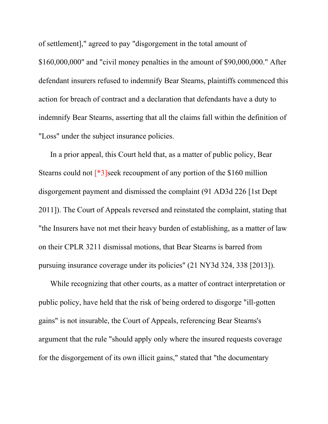of settlement]," agreed to pay "disgorgement in the total amount of \$160,000,000" and "civil money penalties in the amount of \$90,000,000." After defendant insurers refused to indemnify Bear Stearns, plaintiffs commenced this action for breach of contract and a declaration that defendants have a duty to indemnify Bear Stearns, asserting that all the claims fall within the definition of "Loss" under the subject insurance policies.

In a prior appeal, this Court held that, as a matter of public policy, Bear Stearns could not [\*3]seek recoupment of any portion of the \$160 million disgorgement payment and dismissed the complaint (91 AD3d 226 [1st Dept 2011]). The Court of Appeals reversed and reinstated the complaint, stating that "the Insurers have not met their heavy burden of establishing, as a matter of law on their CPLR 3211 dismissal motions, that Bear Stearns is barred from pursuing insurance coverage under its policies" (21 NY3d 324, 338 [2013]).

While recognizing that other courts, as a matter of contract interpretation or public policy, have held that the risk of being ordered to disgorge "ill-gotten gains" is not insurable, the Court of Appeals, referencing Bear Stearns's argument that the rule "should apply only where the insured requests coverage for the disgorgement of its own illicit gains," stated that "the documentary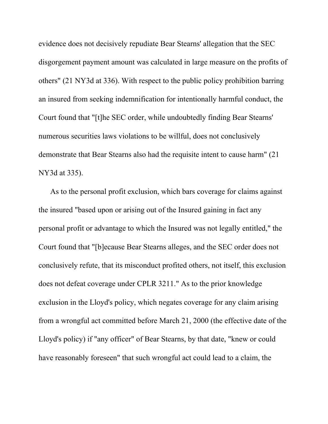evidence does not decisively repudiate Bear Stearns' allegation that the SEC disgorgement payment amount was calculated in large measure on the profits of others" (21 NY3d at 336). With respect to the public policy prohibition barring an insured from seeking indemnification for intentionally harmful conduct, the Court found that "[t]he SEC order, while undoubtedly finding Bear Stearns' numerous securities laws violations to be willful, does not conclusively demonstrate that Bear Stearns also had the requisite intent to cause harm" (21 NY3d at 335).

As to the personal profit exclusion, which bars coverage for claims against the insured "based upon or arising out of the Insured gaining in fact any personal profit or advantage to which the Insured was not legally entitled," the Court found that "[b]ecause Bear Stearns alleges, and the SEC order does not conclusively refute, that its misconduct profited others, not itself, this exclusion does not defeat coverage under CPLR 3211." As to the prior knowledge exclusion in the Lloyd's policy, which negates coverage for any claim arising from a wrongful act committed before March 21, 2000 (the effective date of the Lloyd's policy) if "any officer" of Bear Stearns, by that date, "knew or could have reasonably foreseen" that such wrongful act could lead to a claim, the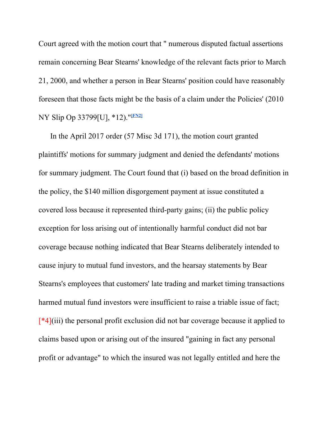Court agreed with the motion court that " numerous disputed factual assertions remain concerning Bear Stearns' knowledge of the relevant facts prior to March 21, 2000, and whether a person in Bear Stearns' position could have reasonably foreseen that those facts might be the basis of a claim under the Policies' (2010 NY Slip Op 33799[U], \*12)." **[FN2]**

In the April 2017 order (57 Misc 3d 171), the motion court granted plaintiffs' motions for summary judgment and denied the defendants' motions for summary judgment. The Court found that (i) based on the broad definition in the policy, the \$140 million disgorgement payment at issue constituted a covered loss because it represented third-party gains; (ii) the public policy exception for loss arising out of intentionally harmful conduct did not bar coverage because nothing indicated that Bear Stearns deliberately intended to cause injury to mutual fund investors, and the hearsay statements by Bear Stearns's employees that customers' late trading and market timing transactions harmed mutual fund investors were insufficient to raise a triable issue of fact; [\*4](iii) the personal profit exclusion did not bar coverage because it applied to claims based upon or arising out of the insured "gaining in fact any personal profit or advantage" to which the insured was not legally entitled and here the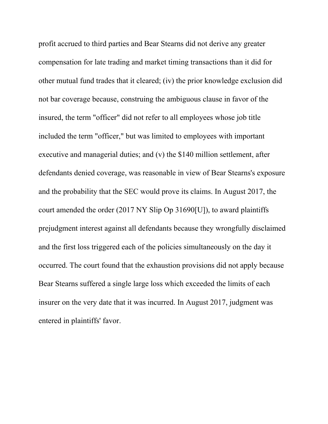profit accrued to third parties and Bear Stearns did not derive any greater compensation for late trading and market timing transactions than it did for other mutual fund trades that it cleared; (iv) the prior knowledge exclusion did not bar coverage because, construing the ambiguous clause in favor of the insured, the term "officer" did not refer to all employees whose job title included the term "officer," but was limited to employees with important executive and managerial duties; and (v) the \$140 million settlement, after defendants denied coverage, was reasonable in view of Bear Stearns's exposure and the probability that the SEC would prove its claims. In August 2017, the court amended the order (2017 NY Slip Op 31690[U]), to award plaintiffs prejudgment interest against all defendants because they wrongfully disclaimed and the first loss triggered each of the policies simultaneously on the day it occurred. The court found that the exhaustion provisions did not apply because Bear Stearns suffered a single large loss which exceeded the limits of each insurer on the very date that it was incurred. In August 2017, judgment was entered in plaintiffs' favor.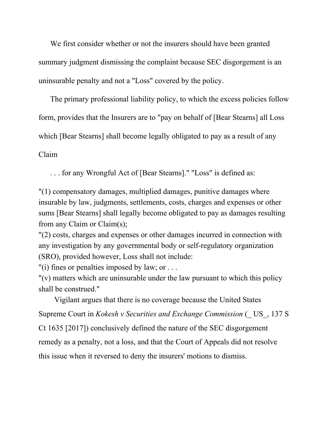We first consider whether or not the insurers should have been granted summary judgment dismissing the complaint because SEC disgorgement is an uninsurable penalty and not a "Loss" covered by the policy.

The primary professional liability policy, to which the excess policies follow form, provides that the Insurers are to "pay on behalf of [Bear Stearns] all Loss which [Bear Stearns] shall become legally obligated to pay as a result of any

Claim

. . . for any Wrongful Act of [Bear Stearns]." "Loss" is defined as:

"(1) compensatory damages, multiplied damages, punitive damages where insurable by law, judgments, settlements, costs, charges and expenses or other sums [Bear Stearns] shall legally become obligated to pay as damages resulting from any Claim or Claim(s);

"(2) costs, charges and expenses or other damages incurred in connection with any investigation by any governmental body or self-regulatory organization (SRO), provided however, Loss shall not include:

"(i) fines or penalties imposed by law; or . . .

"(v) matters which are uninsurable under the law pursuant to which this policy shall be construed."

Vigilant argues that there is no coverage because the United States Supreme Court in *Kokesh v Securities and Exchange Commission* (\_ US\_, 137 S Ct 1635 [2017]) conclusively defined the nature of the SEC disgorgement remedy as a penalty, not a loss, and that the Court of Appeals did not resolve this issue when it reversed to deny the insurers' motions to dismiss.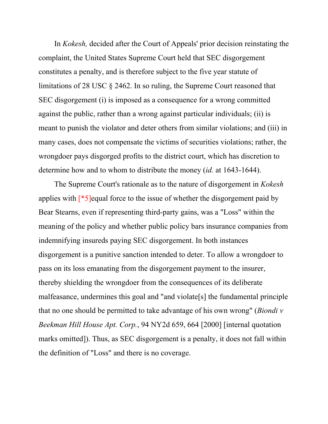In *Kokesh,* decided after the Court of Appeals' prior decision reinstating the complaint, the United States Supreme Court held that SEC disgorgement constitutes a penalty, and is therefore subject to the five year statute of limitations of 28 USC § 2462. In so ruling, the Supreme Court reasoned that SEC disgorgement (i) is imposed as a consequence for a wrong committed against the public, rather than a wrong against particular individuals; (ii) is meant to punish the violator and deter others from similar violations; and (iii) in many cases, does not compensate the victims of securities violations; rather, the wrongdoer pays disgorged profits to the district court, which has discretion to determine how and to whom to distribute the money (*id.* at 1643-1644).

The Supreme Court's rationale as to the nature of disgorgement in *Kokesh* applies with [\*5]equal force to the issue of whether the disgorgement paid by Bear Stearns, even if representing third-party gains, was a "Loss" within the meaning of the policy and whether public policy bars insurance companies from indemnifying insureds paying SEC disgorgement. In both instances disgorgement is a punitive sanction intended to deter. To allow a wrongdoer to pass on its loss emanating from the disgorgement payment to the insurer, thereby shielding the wrongdoer from the consequences of its deliberate malfeasance, undermines this goal and "and violate[s] the fundamental principle that no one should be permitted to take advantage of his own wrong" (*Biondi v Beekman Hill House Apt. Corp.*, 94 NY2d 659, 664 [2000] [internal quotation marks omitted]). Thus, as SEC disgorgement is a penalty, it does not fall within the definition of "Loss" and there is no coverage.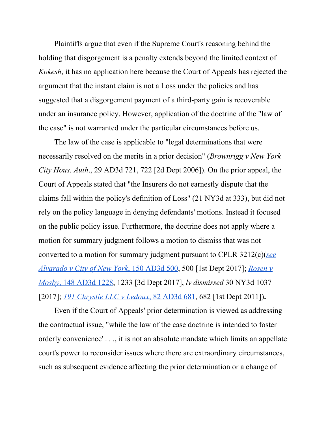Plaintiffs argue that even if the Supreme Court's reasoning behind the holding that disgorgement is a penalty extends beyond the limited context of *Kokesh*, it has no application here because the Court of Appeals has rejected the argument that the instant claim is not a Loss under the policies and has suggested that a disgorgement payment of a third-party gain is recoverable under an insurance policy. However, application of the doctrine of the "law of the case" is not warranted under the particular circumstances before us.

The law of the case is applicable to "legal determinations that were necessarily resolved on the merits in a prior decision" (*Brownrigg v New York City Hous. Auth*., 29 AD3d 721, 722 [2d Dept 2006]). On the prior appeal, the Court of Appeals stated that "the Insurers do not earnestly dispute that the claims fall within the policy's definition of Loss" (21 NY3d at 333), but did not rely on the policy language in denying defendants' motions. Instead it focused on the public policy issue. Furthermore, the doctrine does not apply where a motion for summary judgment follows a motion to dismiss that was not converted to a motion for summary judgment pursuant to CPLR 3212(c)(*see Alvarado v City of New York*, 150 AD3d 500, 500 [1st Dept 2017]; *Rosen v Mosby*, 148 AD3d 1228, 1233 [3d Dept 2017], *lv dismissed* 30 NY3d 1037 [2017]; *191 Chrystie LLC v Ledoux*, 82 AD3d 681, 682 [1st Dept 2011])**.**

Even if the Court of Appeals' prior determination is viewed as addressing the contractual issue, "while the law of the case doctrine is intended to foster orderly convenience' . . ., it is not an absolute mandate which limits an appellate court's power to reconsider issues where there are extraordinary circumstances, such as subsequent evidence affecting the prior determination or a change of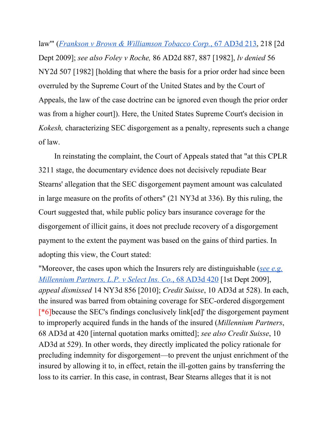law'" (*Frankson v Brown & Williamson Tobacco Corp.*, 67 AD3d 213, 218 [2d Dept 2009]; *see also Foley v Roche,* 86 AD2d 887, 887 [1982], *lv denied* 56 NY2d 507 [1982] [holding that where the basis for a prior order had since been overruled by the Supreme Court of the United States and by the Court of Appeals, the law of the case doctrine can be ignored even though the prior order was from a higher court]). Here, the United States Supreme Court's decision in *Kokesh,* characterizing SEC disgorgement as a penalty, represents such a change of law.

In reinstating the complaint, the Court of Appeals stated that "at this CPLR 3211 stage, the documentary evidence does not decisively repudiate Bear Stearns' allegation that the SEC disgorgement payment amount was calculated in large measure on the profits of others" (21 NY3d at 336). By this ruling, the Court suggested that, while public policy bars insurance coverage for the disgorgement of illicit gains, it does not preclude recovery of a disgorgement payment to the extent the payment was based on the gains of third parties. In adopting this view, the Court stated:

"Moreover, the cases upon which the Insurers rely are distinguishable (*see e.g. Millennium Partners, L.P. v Select Ins. Co.*, 68 AD3d 420 [1st Dept 2009], *appeal dismissed* 14 NY3d 856 [2010]; *Credit Suisse*, 10 AD3d at 528). In each, the insured was barred from obtaining coverage for SEC-ordered disgorgement [\*6]because the SEC's findings conclusively link[ed]' the disgorgement payment to improperly acquired funds in the hands of the insured (*Millennium Partners*, 68 AD3d at 420 [internal quotation marks omitted]; *see also Credit Suisse*, 10 AD3d at 529). In other words, they directly implicated the policy rationale for precluding indemnity for disgorgement—to prevent the unjust enrichment of the insured by allowing it to, in effect, retain the ill-gotten gains by transferring the loss to its carrier. In this case, in contrast, Bear Stearns alleges that it is not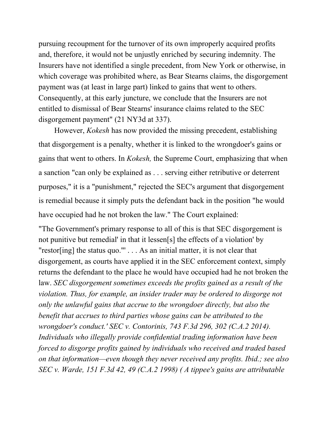pursuing recoupment for the turnover of its own improperly acquired profits and, therefore, it would not be unjustly enriched by securing indemnity. The Insurers have not identified a single precedent, from New York or otherwise, in which coverage was prohibited where, as Bear Stearns claims, the disgorgement payment was (at least in large part) linked to gains that went to others. Consequently, at this early juncture, we conclude that the Insurers are not entitled to dismissal of Bear Stearns' insurance claims related to the SEC disgorgement payment" (21 NY3d at 337).

However, *Kokesh* has now provided the missing precedent, establishing that disgorgement is a penalty, whether it is linked to the wrongdoer's gains or gains that went to others. In *Kokesh,* the Supreme Court, emphasizing that when a sanction "can only be explained as . . . serving either retributive or deterrent purposes," it is a "punishment," rejected the SEC's argument that disgorgement is remedial because it simply puts the defendant back in the position "he would have occupied had he not broken the law." The Court explained:

"The Government's primary response to all of this is that SEC disgorgement is not punitive but remedial' in that it lessen[s] the effects of a violation' by "restor[ing] the status quo."' . . . As an initial matter, it is not clear that disgorgement, as courts have applied it in the SEC enforcement context, simply returns the defendant to the place he would have occupied had he not broken the law. *SEC disgorgement sometimes exceeds the profits gained as a result of the violation. Thus, for example, an insider trader may be ordered to disgorge not only the unlawful gains that accrue to the wrongdoer directly, but also the benefit that accrues to third parties whose gains can be attributed to the wrongdoer's conduct.' SEC v. Contorinis, 743 F.3d 296, 302 (C.A.2 2014). Individuals who illegally provide confidential trading information have been forced to disgorge profits gained by individuals who received and traded based on that information—even though they never received any profits. Ibid.; see also SEC v. Warde, 151 F.3d 42, 49 (C.A.2 1998) ( A tippee's gains are attributable*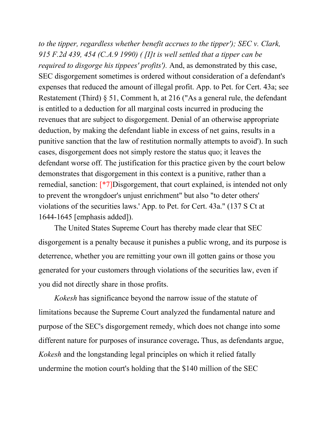*to the tipper, regardless whether benefit accrues to the tipper'); SEC v. Clark, 915 F.2d 439, 454 (C.A.9 1990) ( [I]t is well settled that a tipper can be required to disgorge his tippees' profits').* And, as demonstrated by this case, SEC disgorgement sometimes is ordered without consideration of a defendant's expenses that reduced the amount of illegal profit. App. to Pet. for Cert. 43a; see Restatement (Third) § 51, Comment h, at 216 ("As a general rule, the defendant is entitled to a deduction for all marginal costs incurred in producing the revenues that are subject to disgorgement. Denial of an otherwise appropriate deduction, by making the defendant liable in excess of net gains, results in a punitive sanction that the law of restitution normally attempts to avoid'). In such cases, disgorgement does not simply restore the status quo; it leaves the defendant worse off. The justification for this practice given by the court below demonstrates that disgorgement in this context is a punitive, rather than a remedial, sanction: [\*7]Disgorgement, that court explained, is intended not only to prevent the wrongdoer's unjust enrichment" but also "to deter others' violations of the securities laws.' App. to Pet. for Cert. 43a." (137 S Ct at 1644-1645 [emphasis added]).

The United States Supreme Court has thereby made clear that SEC disgorgement is a penalty because it punishes a public wrong, and its purpose is deterrence, whether you are remitting your own ill gotten gains or those you generated for your customers through violations of the securities law, even if you did not directly share in those profits.

*Kokesh* has significance beyond the narrow issue of the statute of limitations because the Supreme Court analyzed the fundamental nature and purpose of the SEC's disgorgement remedy, which does not change into some different nature for purposes of insurance coverage**.** Thus, as defendants argue, *Kokesh* and the longstanding legal principles on which it relied fatally undermine the motion court's holding that the \$140 million of the SEC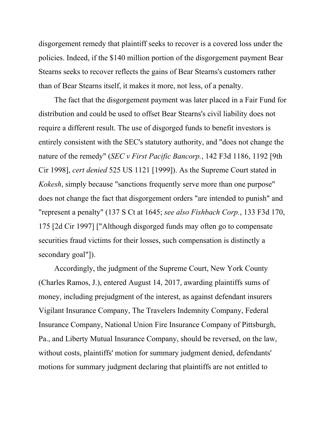disgorgement remedy that plaintiff seeks to recover is a covered loss under the policies. Indeed, if the \$140 million portion of the disgorgement payment Bear Stearns seeks to recover reflects the gains of Bear Stearns's customers rather than of Bear Stearns itself, it makes it more, not less, of a penalty.

The fact that the disgorgement payment was later placed in a Fair Fund for distribution and could be used to offset Bear Stearns's civil liability does not require a different result. The use of disgorged funds to benefit investors is entirely consistent with the SEC's statutory authority, and "does not change the nature of the remedy" (*SEC v First Pacific Bancorp.*, 142 F3d 1186, 1192 [9th Cir 1998], *cert denied* 525 US 1121 [1999]). As the Supreme Court stated in *Kokesh*, simply because "sanctions frequently serve more than one purpose" does not change the fact that disgorgement orders "are intended to punish" and "represent a penalty" (137 S Ct at 1645; *see also Fishbach Corp.*, 133 F3d 170, 175 [2d Cir 1997] ["Although disgorged funds may often go to compensate securities fraud victims for their losses, such compensation is distinctly a secondary goal"]).

Accordingly, the judgment of the Supreme Court, New York County (Charles Ramos, J.), entered August 14, 2017, awarding plaintiffs sums of money, including prejudgment of the interest, as against defendant insurers Vigilant Insurance Company, The Travelers Indemnity Company, Federal Insurance Company, National Union Fire Insurance Company of Pittsburgh, Pa., and Liberty Mutual Insurance Company, should be reversed, on the law, without costs, plaintiffs' motion for summary judgment denied, defendants' motions for summary judgment declaring that plaintiffs are not entitled to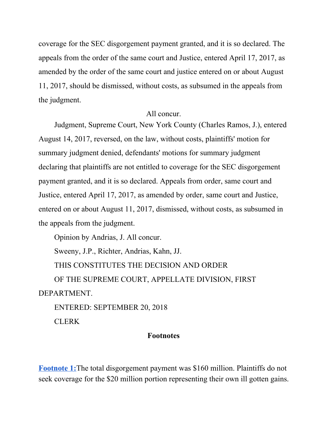coverage for the SEC disgorgement payment granted, and it is so declared. The appeals from the order of the same court and Justice, entered April 17, 2017, as amended by the order of the same court and justice entered on or about August 11, 2017, should be dismissed, without costs, as subsumed in the appeals from the judgment.

## All concur.

Judgment, Supreme Court, New York County (Charles Ramos, J.), entered August 14, 2017, reversed, on the law, without costs, plaintiffs' motion for summary judgment denied, defendants' motions for summary judgment declaring that plaintiffs are not entitled to coverage for the SEC disgorgement payment granted, and it is so declared. Appeals from order, same court and Justice, entered April 17, 2017, as amended by order, same court and Justice, entered on or about August 11, 2017, dismissed, without costs, as subsumed in the appeals from the judgment.

Opinion by Andrias, J. All concur.

Sweeny, J.P., Richter, Andrias, Kahn, JJ.

THIS CONSTITUTES THE DECISION AND ORDER

OF THE SUPREME COURT, APPELLATE DIVISION, FIRST DEPARTMENT.

ENTERED: SEPTEMBER 20, 2018

CLERK

## **Footnotes**

**Footnote 1:**The total disgorgement payment was \$160 million. Plaintiffs do not seek coverage for the \$20 million portion representing their own ill gotten gains.